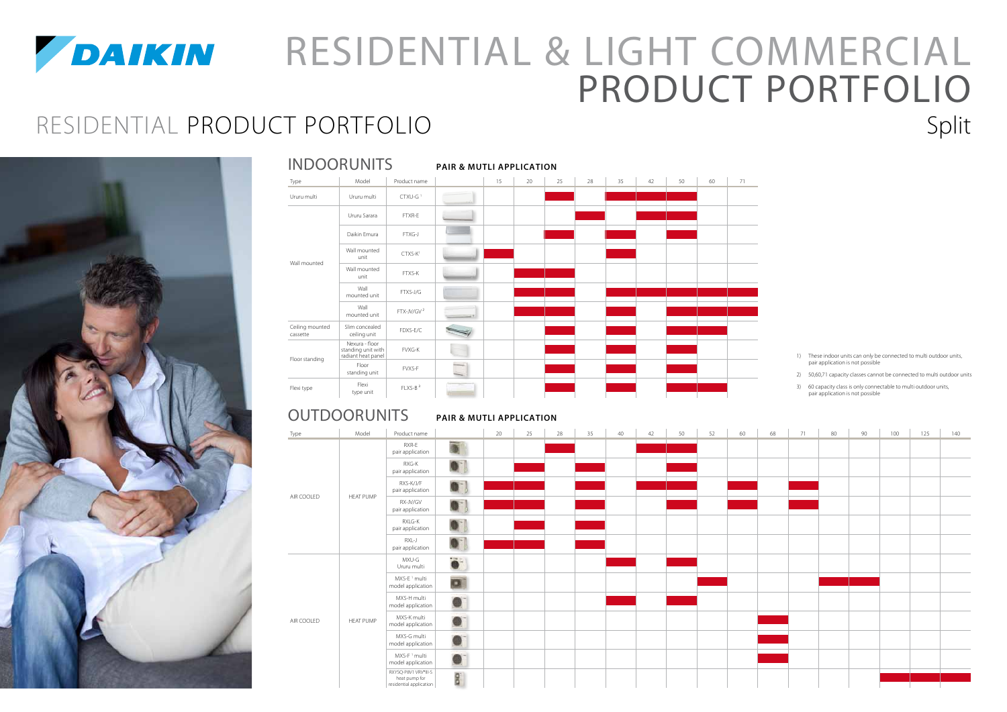

# *PAIKIN* RESIDENTIAL & LIGHT COMMERCIAL PRODUCT PORTFOLIO RESIDENTIAL PRODUCT PORTFOLIO Split



#### **PAIR & mutli APPLICATION OUTDOORUNITS**

|                             | <b>INDOORUNITS</b>                                         |                        | <b>PAIR &amp; MUTLI APPLICATION</b> |    |    |    |    |    |    |    |    |    |  |  |
|-----------------------------|------------------------------------------------------------|------------------------|-------------------------------------|----|----|----|----|----|----|----|----|----|--|--|
| Type                        | Model                                                      | Product name           |                                     | 15 | 20 | 25 | 28 | 35 | 42 | 50 | 60 | 71 |  |  |
| Ururu multi                 | Ururu multi                                                | CTXU-G <sup>1</sup>    |                                     |    |    |    |    |    |    |    |    |    |  |  |
|                             | Ururu Sarara                                               | FTXR-E                 |                                     |    |    |    |    |    |    |    |    |    |  |  |
|                             | Daikin Emura                                               | FTXG-J                 |                                     |    |    |    |    |    |    |    |    |    |  |  |
|                             | Wall mounted<br>unit                                       | CTXS-K <sup>1</sup>    |                                     |    |    |    |    |    |    |    |    |    |  |  |
| Wall mounted                | Wall mounted<br>unit                                       | FTXS-K                 |                                     |    |    |    |    |    |    |    |    |    |  |  |
|                             | Wall<br>mounted unit                                       | FTXS-J/G               |                                     |    |    |    |    |    |    |    |    |    |  |  |
|                             | Wall<br>mounted unit                                       | FTX-JV/GV <sup>2</sup> |                                     |    |    |    |    |    |    |    |    |    |  |  |
| Ceiling mounted<br>cassette | Slim concealed<br>ceiling unit                             | FDXS-E/C               |                                     |    |    |    |    |    |    |    |    |    |  |  |
|                             | Nexura - floor<br>standing unit with<br>radiant heat panel | FVXG-K                 |                                     |    |    |    |    |    |    |    |    |    |  |  |
| Floor standing              | Floor<br>standing unit                                     | FVXS-F                 |                                     |    |    |    |    |    |    |    |    |    |  |  |
| Flexi type                  | Flexi<br>type unit                                         | FLXS-B <sup>3</sup>    |                                     |    |    |    |    |    |    |    |    |    |  |  |

1) These indoor units can only be connected to multi outdoor units, pair application is not possible

2) 50,60,71 capacity classes cannot be connected to multi outdoor units

3) 60 capacity class is only connectable to multi outdoor units, pair application is not possible

| Type       | Model            | Product name                                                     |                  | 20 | 25 | 28 | 35 | 40 | 42 | 50 | 52 | 60 | 68 | 71 | 80 | 90 | 100 | 125 | 140 |
|------------|------------------|------------------------------------------------------------------|------------------|----|----|----|----|----|----|----|----|----|----|----|----|----|-----|-----|-----|
|            |                  | RXR-E<br>pair application                                        | 0                |    |    |    |    |    |    |    |    |    |    |    |    |    |     |     |     |
|            |                  | RXG-K<br>pair application                                        | $\bullet$        |    |    |    |    |    |    |    |    |    |    |    |    |    |     |     |     |
|            | <b>HEAT PUMP</b> | RXS-K/J/F<br>pair application                                    | $\bullet$        |    |    |    |    |    |    |    |    |    |    |    |    |    |     |     |     |
| AIR COOLED |                  | RX-JV/GV<br>pair application                                     | $\bullet$        |    |    |    |    |    |    |    |    |    |    |    |    |    |     |     |     |
|            |                  | RXLG-K<br>pair application                                       | $\bullet$ )      |    |    |    |    |    |    |    |    |    |    |    |    |    |     |     |     |
|            |                  | RXL-J<br>pair application                                        | $\bullet$        |    |    |    |    |    |    |    |    |    |    |    |    |    |     |     |     |
|            |                  | MXU-G<br>Ururu multi                                             | $\ddot{\bullet}$ |    |    |    |    |    |    |    |    |    |    |    |    |    |     |     |     |
|            |                  | MXS-E <sup>1</sup> multi<br>model application                    | ø                |    |    |    |    |    |    |    |    |    |    |    |    |    |     |     |     |
|            |                  | MXS-H multi<br>model application                                 | $\bullet$        |    |    |    |    |    |    |    |    |    |    |    |    |    |     |     |     |
| AIR COOLED | <b>HEAT PUMP</b> | MXS-K multi<br>model application                                 | $\bullet$        |    |    |    |    |    |    |    |    |    |    |    |    |    |     |     |     |
|            |                  | MXS-G multi<br>model application                                 | $\bullet$        |    |    |    |    |    |    |    |    |    |    |    |    |    |     |     |     |
|            |                  | MXS-F <sup>1</sup> multi<br>model application                    | $\bullet$        |    |    |    |    |    |    |    |    |    |    |    |    |    |     |     |     |
|            |                  | RXYSQ-P8V1 VRV®III-S<br>heat pump for<br>residential application | ba               |    |    |    |    |    |    |    |    |    |    |    |    |    |     |     |     |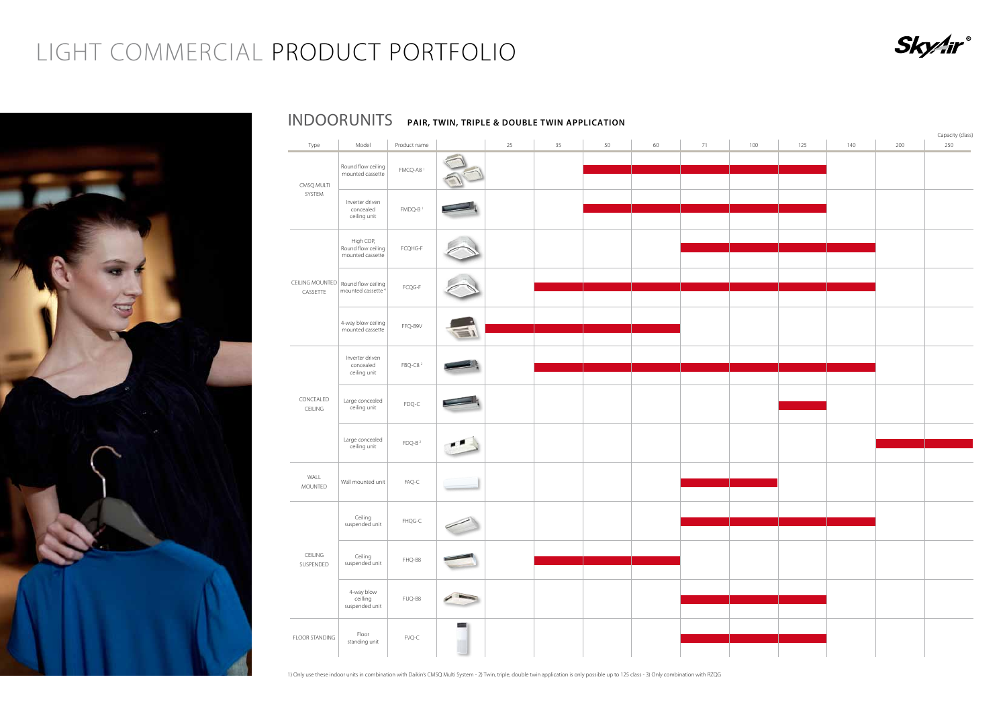1) Only use these indoor units in combination with Daikin's CMSQ Multi System - 2) Twin, triple, double twin application is only possible up to 125 class - 3) Only combination with RZQG



## INDOOR UNITS **PAIR, TWIN, TRIPLE & DOUBLE TWIN APPLICATION**

# LIGHT COMMERCIAL PRODUCT PORTFOLIO





| Type                 | Model                                                                   | Product name                      |                    | 25 | 35 | 50 | 60 | 71 | 100 | 125 | 140 | 200 | 25C |
|----------------------|-------------------------------------------------------------------------|-----------------------------------|--------------------|----|----|----|----|----|-----|-----|-----|-----|-----|
| CMSQ MULTI           | Round flow ceiling<br>mounted cassette                                  | FMCQ-A8 <sup>1</sup>              |                    |    |    |    |    |    |     |     |     |     |     |
| SYSTEM               | Inverter driven<br>concealed<br>ceiling unit                            | FMDQ-B <sup>1</sup>               |                    |    |    |    |    |    |     |     |     |     |     |
|                      | High COP,<br>Round flow ceiling<br>mounted cassette                     | FCQHG-F                           |                    |    |    |    |    |    |     |     |     |     |     |
| CASSETTE             | CEILING MOUNTED   Round flow ceiling  <br>mounted cassette <sup>4</sup> | $\mathsf{FCQG}\text{-}\mathsf{F}$ |                    |    |    |    |    |    |     |     |     |     |     |
|                      | 4-way blow ceiling<br>mounted cassette                                  | FFQ-B9V                           |                    |    |    |    |    |    |     |     |     |     |     |
|                      | Inverter driven<br>concealed<br>ceiling unit                            | FBQ-C8 <sup>2</sup>               |                    |    |    |    |    |    |     |     |     |     |     |
| CONCEALED<br>CEILING | Large concealed<br>ceiling unit                                         | FDQ-C                             |                    |    |    |    |    |    |     |     |     |     |     |
|                      | Large concealed<br>ceiling unit                                         | $FDQ-B2$                          |                    |    |    |    |    |    |     |     |     |     |     |
| WALL<br>MOUNTED      | Wall mounted unit                                                       | $FAQ-C$                           |                    |    |    |    |    |    |     |     |     |     |     |
|                      | Ceiling<br>suspended unit                                               | FHQG-C                            | $\sim$             |    |    |    |    |    |     |     |     |     |     |
| CEILING<br>SUSPENDED | Ceiling<br>suspended unit                                               | FHQ-B8                            |                    |    |    |    |    |    |     |     |     |     |     |
|                      | 4-way blow<br>ceilling<br>suspended unit                                | FUQ-B8                            |                    |    |    |    |    |    |     |     |     |     |     |
| FLOOR STANDING       | Floor<br>standing unit                                                  | $\mathsf{FVQ}\text{-}\mathsf{C}$  | $=$ $\overline{ }$ |    |    |    |    |    |     |     |     |     |     |